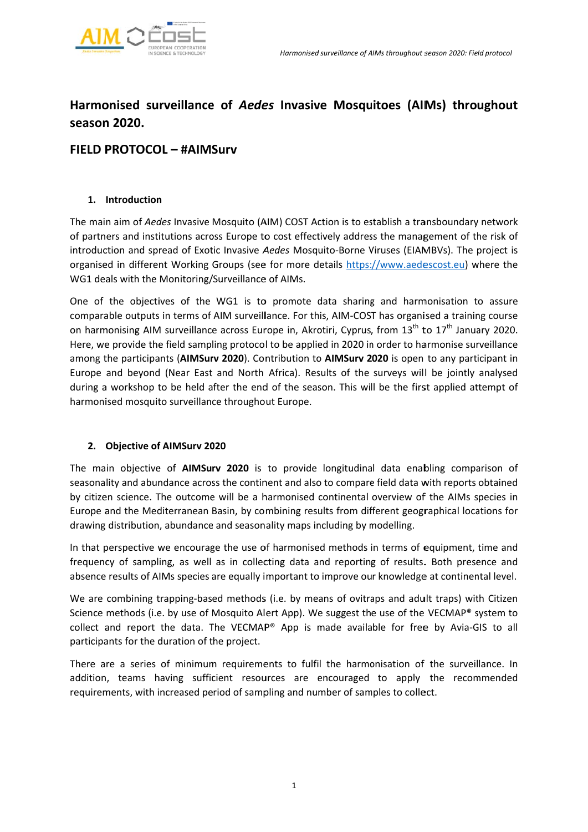

# Harmonised surveillance of Aedes Invasive Mosquitoes (AIMs) throughout season 2020.

# FIFLD PROTOCOL - #AIMSurv

# 1. Introduction

The main aim of Aedes Invasive Mosquito (AIM) COST Action is to establish a transboundary network of partners and institutions across Europe to cost effectively address the management of the risk of introduction and spread of Exotic Invasive Aedes Mosquito-Borne Viruses (EIAMBVs). The project is organised in different Working Groups (see for more details https://www.aedescost.eu) where the WG1 deals with the Monitoring/Surveillance of AIMs.

One of the objectives of the WG1 is to promote data sharing and harmonisation to assure comparable outputs in terms of AIM surveillance. For this, AIM-COST has organised a training course on harmonising AIM surveillance across Europe in, Akrotiri, Cyprus, from 13<sup>th</sup> to 17<sup>th</sup> January 2020. Here, we provide the field sampling protocol to be applied in 2020 in order to harmonise surveillance among the participants (AIMSurv 2020). Contribution to AIMSurv 2020 is open to any participant in Europe and beyond (Near East and North Africa). Results of the surveys will be jointly analysed during a workshop to be held after the end of the season. This will be the first applied attempt of harmonised mosquito surveillance throughout Europe.

# 2. Objective of AIMSurv 2020

The main objective of **AIMSury 2020** is to provide longitudinal data enabling comparison of seasonality and abundance across the continent and also to compare field data with reports obtained by citizen science. The outcome will be a harmonised continental overview of the AIMs species in Europe and the Mediterranean Basin, by combining results from different geographical locations for drawing distribution, abundance and seasonality maps including by modelling.

In that perspective we encourage the use of harmonised methods in terms of equipment, time and frequency of sampling, as well as in collecting data and reporting of results. Both presence and absence results of AIMs species are equally important to improve our knowledge at continental level.

We are combining trapping-based methods (i.e. by means of ovitraps and adult traps) with Citizen Science methods (i.e. by use of Mosquito Alert App). We suggest the use of the VECMAP® system to collect and report the data. The VECMAP® App is made available for free by Avia-GIS to all participants for the duration of the project.

There are a series of minimum requirements to fulfil the harmonisation of the surveillance. In addition, teams having sufficient resources are encouraged to apply the recommended requirements, with increased period of sampling and number of samples to collect.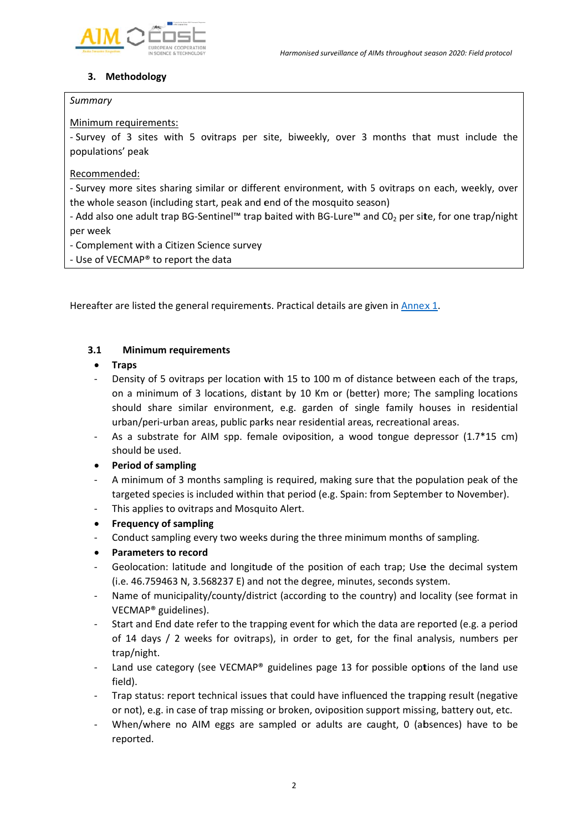

# 3. Methodology

### Summary

## Minimum requirements:

- Survey of 3 sites with 5 ovitraps per site, biweekly, over 3 months that must include the populations' peak

# Recommended:

- Survey more sites sharing similar or different environment, with 5 ovitraps on each, weekly, over the whole season (including start, peak and end of the mosquito season)

- Add also one adult trap BG-Sentinel™ trap baited with BG-Lure™ and CO<sub>2</sub> per site, for one trap/night per week

- Complement with a Citizen Science survey

- Use of VECMAP® to report the data

Hereafter are listed the general requirements. Practical details are given in Annex 1.

#### $3.1$ **Minimum requirements**

#### **Traps**  $\bullet$

- Density of 5 ovitraps per location with 15 to 100 m of distance between each of the traps, on a minimum of 3 locations, distant by 10 Km or (better) more; The sampling locations should share similar environment, e.g. garden of single family houses in residential urban/peri-urban areas, public parks near residential areas, recreational areas.
- As a substrate for AIM spp. female oviposition, a wood tongue depressor  $(1.7*15 \text{ cm})$ should be used.

# **Period of sampling**

- A minimum of 3 months sampling is required, making sure that the population peak of the targeted species is included within that period (e.g. Spain: from September to November).
- This applies to ovitraps and Mosquito Alert.
- **Frequency of sampling**  $\bullet$
- Conduct sampling every two weeks during the three minimum months of sampling.
- **Parameters to record**
- Geolocation: latitude and longitude of the position of each trap; Use the decimal system (i.e. 46.759463 N, 3.568237 E) and not the degree, minutes, seconds system.
- Name of municipality/county/district (according to the country) and locality (see format in VECMAP<sup>®</sup> guidelines).
- Start and End date refer to the trapping event for which the data are reported (e.g. a period of 14 days / 2 weeks for ovitraps), in order to get, for the final analysis, numbers per trap/night.
- Land use category (see VECMAP® guidelines page 13 for possible options of the land use field).
- Trap status: report technical issues that could have influenced the trapping result (negative or not), e.g. in case of trap missing or broken, oviposition support missing, battery out, etc.
- When/where no AIM eggs are sampled or adults are caught, 0 (absences) have to be reported.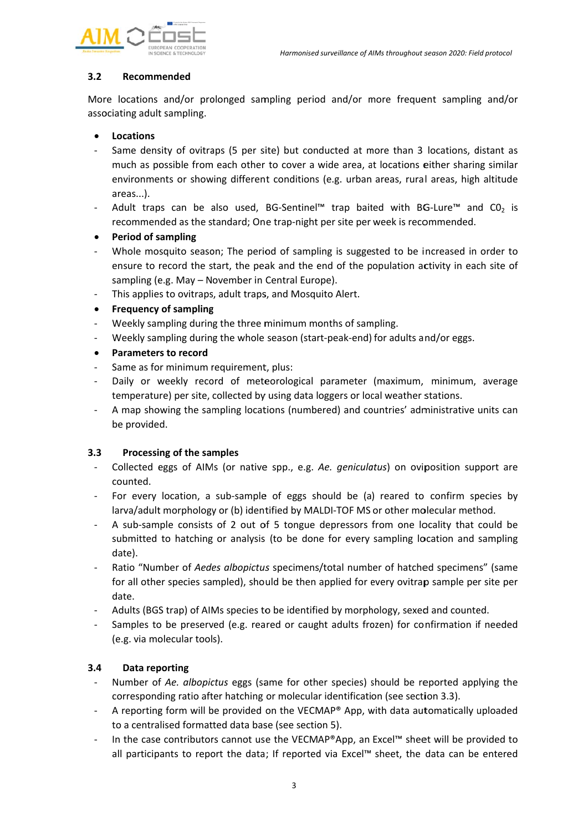

#### $3.2$ Recommended

More locations and/or prolonged sampling period and/or more frequent sampling and/or associating adult sampling.

- **Locations**
- Same density of ovitraps (5 per site) but conducted at more than 3 locations, distant as much as possible from each other to cover a wide area, at locations either sharing similar environments or showing different conditions (e.g. urban areas, rural areas, high altitude areas...).
- Adult traps can be also used, BG-Sentinel<sup>TM</sup> trap baited with BG-Lure<sup>TM</sup> and CO<sub>2</sub> is recommended as the standard; One trap-night per site per week is recommended.
- **Period of sampling**  $\bullet$
- Whole mosquito season; The period of sampling is suggested to be increased in order to ensure to record the start, the peak and the end of the population activity in each site of sampling (e.g. May - November in Central Europe).
- This applies to ovitraps, adult traps, and Mosquito Alert.
- **Frequency of sampling**  $\bullet$
- Weekly sampling during the three minimum months of sampling.
- Weekly sampling during the whole season (start-peak-end) for adults and/or eggs.
- **Parameters to record**
- Same as for minimum requirement, plus:
- Daily or weekly record of meteorological parameter (maximum, minimum, average temperature) per site, collected by using data loggers or local weather stations.
- A map showing the sampling locations (numbered) and countries' administrative units can be provided.

#### $3.3$ Processing of the samples

- Collected eggs of AIMs (or native spp., e.g. Ae. geniculatus) on oviposition support are counted.
- For every location, a sub-sample of eggs should be (a) reared to confirm species by larva/adult morphology or (b) identified by MALDI-TOF MS or other molecular method.
- A sub-sample consists of 2 out of 5 tongue depressors from one locality that could be submitted to hatching or analysis (to be done for every sampling location and sampling date).
- Ratio "Number of Aedes albopictus specimens/total number of hatched specimens" (same for all other species sampled), should be then applied for every ovitrap sample per site per date.
- Adults (BGS trap) of AIMs species to be identified by morphology, sexed and counted.
- Samples to be preserved (e.g. reared or caught adults frozen) for confirmation if needed (e.g. via molecular tools).

#### $3.4$ Data reporting

- Number of Ae. albopictus eggs (same for other species) should be reported applying the corresponding ratio after hatching or molecular identification (see section 3.3).
- A reporting form will be provided on the VECMAP® App, with data automatically uploaded to a centralised formatted data base (see section 5).
- In the case contributors cannot use the VECMAP®App, an Excel™ sheet will be provided to all participants to report the data; If reported via Excel™ sheet, the data can be entered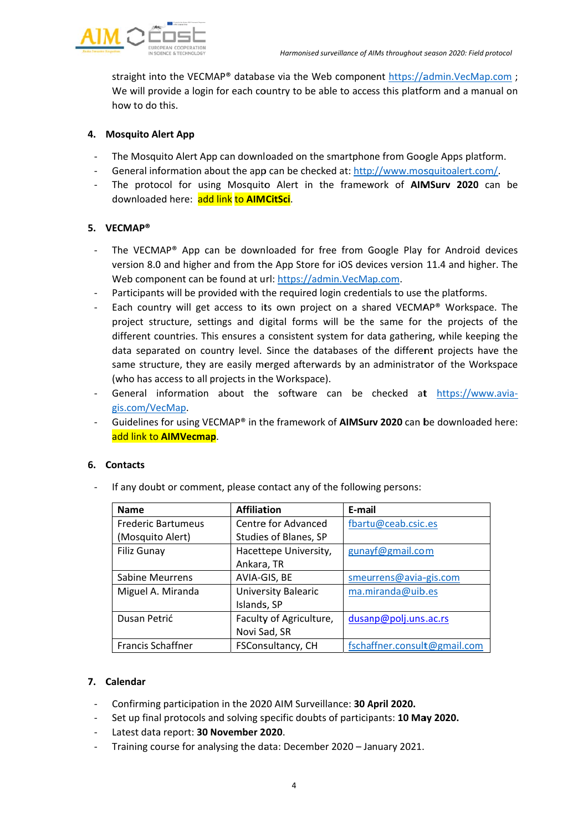

straight into the VECMAP® database via the Web component https://admin.VecMap.com; We will provide a login for each country to be able to access this platform and a manual on how to do this.

# 4. Mosquito Alert App

- The Mosquito Alert App can downloaded on the smartphone from Google Apps platform.
- General information about the app can be checked at: http://www.mosquitoalert.com/.
- The protocol for using Mosquito Alert in the framework of **AIMSury 2020** can be  $\mathbf{r}$ downloaded here: add link to AIMCitSci.

# 5. VECMAP®

- The VECMAP® App can be downloaded for free from Google Play for Android devices version 8.0 and higher and from the App Store for iOS devices version 11.4 and higher. The Web component can be found at url: https://admin.VecMap.com.
- Participants will be provided with the required login credentials to use the platforms.
- Each country will get access to its own project on a shared VECMAP® Workspace. The project structure, settings and digital forms will be the same for the projects of the different countries. This ensures a consistent system for data gathering, while keeping the data separated on country level. Since the databases of the different projects have the same structure, they are easily merged afterwards by an administrator of the Workspace (who has access to all projects in the Workspace).
- General information about the software can be checked at https://www.aviagis.com/VecMap.
- Guidelines for using VECMAP® in the framework of AIMSurv 2020 can be downloaded here: add link to AIMVecmap.

### 6. Contacts

If any doubt or comment, please contact any of the following persons:

| <b>Name</b>               | <b>Affiliation</b>      | E-mail                       |
|---------------------------|-------------------------|------------------------------|
| <b>Frederic Bartumeus</b> | Centre for Advanced     | fbartu@ceab.csic.es          |
| (Mosquito Alert)          | Studies of Blanes, SP   |                              |
| <b>Filiz Gunay</b>        | Hacettepe University,   | gunayf@gmail.com             |
|                           | Ankara, TR              |                              |
| <b>Sabine Meurrens</b>    | AVIA-GIS, BE            | smeurrens@avia-gis.com       |
| Miguel A. Miranda         | University Balearic     | ma.miranda@uib.es            |
|                           | Islands, SP             |                              |
| Dusan Petrić              | Faculty of Agriculture, | dusanp@polj.uns.ac.rs        |
|                           | Novi Sad, SR            |                              |
| Francis Schaffner         | FSConsultancy, CH       | fschaffner.consult@gmail.com |

### 7. Calendar

- Confirming participation in the 2020 AIM Surveillance: 30 April 2020.
- Set up final protocols and solving specific doubts of participants: 10 May 2020.
- Latest data report: 30 November 2020.
- Training course for analysing the data: December 2020 January 2021.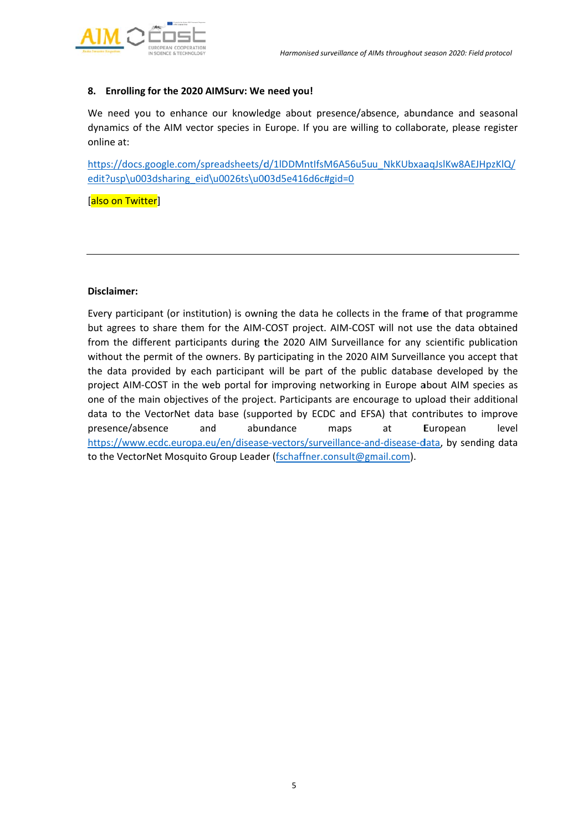

#### 8. Enrolling for the 2020 AIMSurv: We need you!

We need you to enhance our knowledge about presence/absence, abundance and seasonal dynamics of the AIM vector species in Europe. If you are willing to collaborate, please register online at:

https://docs.google.com/spreadsheets/d/1IDDMntIfsM6A56u5uu NkKUbxaaqJslKw8AEJHpzKlQ/ edit?usp\u003dsharing eid\u0026ts\u003d5e416d6c#gid=0

[also on Twitter]

#### Disclaimer:

Every participant (or institution) is owning the data he collects in the frame of that programme but agrees to share them for the AIM-COST project. AIM-COST will not use the data obtained from the different participants during the 2020 AIM Surveillance for any scientific publication without the permit of the owners. By participating in the 2020 AIM Surveillance you accept that the data provided by each participant will be part of the public database developed by the project AIM-COST in the web portal for improving networking in Europe about AIM species as one of the main objectives of the project. Participants are encourage to upload their additional data to the VectorNet data base (supported by ECDC and EFSA) that contributes to improve presence/absence and abundance at level maps European https://www.ecdc.europa.eu/en/disease-vectors/surveillance-and-disease-data, by sending data to the VectorNet Mosquito Group Leader (fschaffner.consult@gmail.com).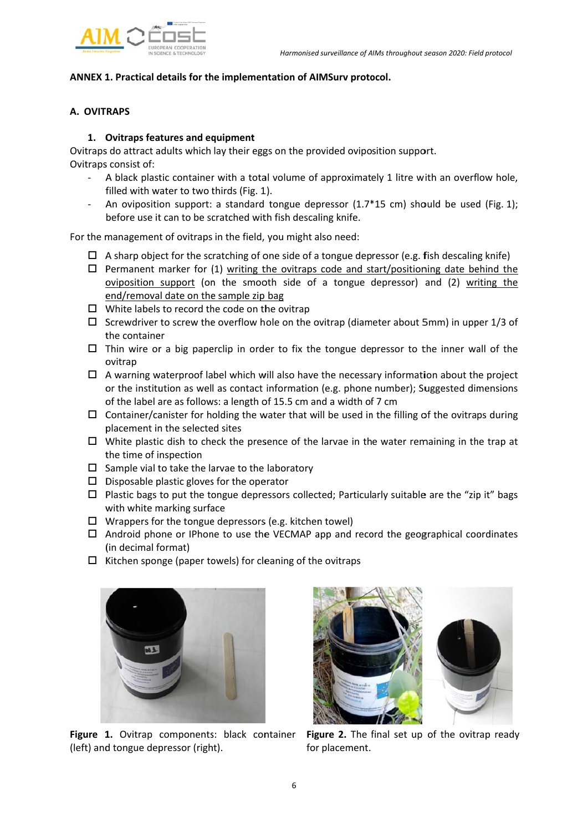

# **ANNEX 1 1. Practical d details for th he implemen ntation of AI MSurv proto ocol.**

# **A. OVIT RAPS**

### **1. O Ovitraps fea atures and eq quipment**

Ovitraps do attract adults which lay their eggs on the provided oviposition support. Ovitraps s consist of:

- A black plastic container with a total volume of approximately 1 litre with an overflow hole, filled with water to two thirds (Fig. 1).
- An oviposition support: a standard tongue depressor (1.7\*15 cm) should be used (Fig. 1); before use it can to be scratched with fish descaling knife.

For the management of ovitraps in the field, you might also need:

- $\Box$  A sharp object for the scratching of one side of a tongue depressor (e.g. fish descaling knife)
- □ Permanent marker for (1) writing the ovitraps code and start/positioning date behind the oviposition support (on the smooth side of a tongue depressor) and (2) writing the end/removal date on the sample zip bag
- $\Box$  White labels to record the code on the ovitrap
- $\Box$  Screwdriver to screw the overflow hole on the ovitrap (diameter about 5mm) in upper 1/3 of the container
- $\Box$  Thin wire or a big paperclip in order to fix the tongue depressor to the inner wall of the o ovitrap
- $\Box$  A warning waterproof label which will also have the necessary information about the project or the institution as well as contact information (e.g. phone number); Suggested dimensions of the label are as follows: a length of 15.5 cm and a width of 7 cm
- $\Box$  Container/canister for holding the water that will be used in the filling of the ovitraps during placement in the selected sites
- $\Box$  White plastic dish to check the presence of the larvae in the water remaining in the trap at t the time of i nspection
- $\Box$  Sample vial to take the larvae to the laboratory
- $\square$  Disposable plastic gloves for the operator
- $\Box$  Plastic bags to put the tongue depressors collected; Particularly suitable are the "zip it" bags with white marking surface
- $\Box$  Wrappers for the tongue depressors (e.g. kitchen towel)
- □ Android phone or IPhone to use the VECMAP app and record the geographical coordinates ( (in decimal f format)
- $\Box$  Kitchen sponge (paper towels) for cleaning of the ovitraps



Figure 1. Ovitrap components: black container Fig (left) and tongue depressor (right).



for placement. **gure 2.** The final set up of the ovitrap ready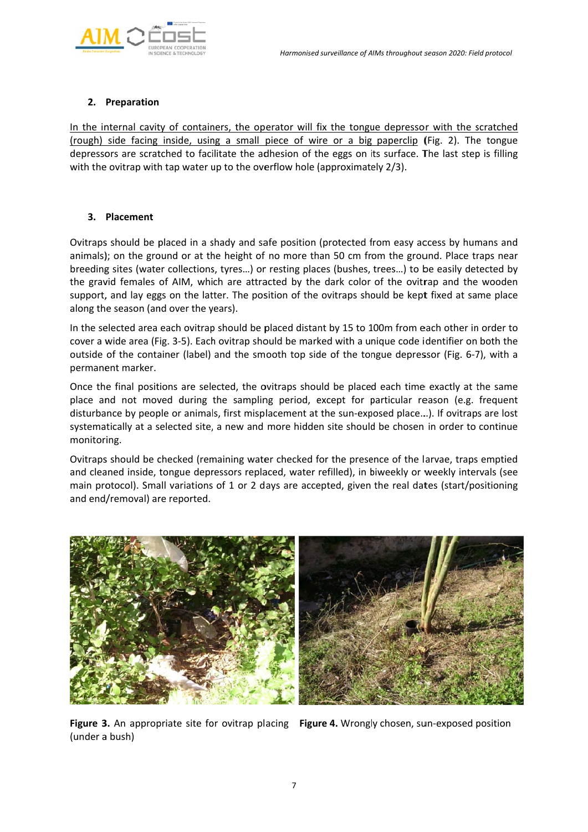

# **2. Preparation**

In the internal cavity of containers, the operator will fix the tongue depressor with the scratched (rough) side facing inside, using a small piece of wire or a big paperclip (Fig. 2). The tongue depressors are scratched to facilitate the adhesion of the eggs on its surface. The last step is filling with the ovitrap with tap water up to the overflow hole (approximately 2/3).

# **3. Placement**

Ovitraps should be placed in a shady and safe position (protected from easy access by humans and animals); on the ground or at the height of no more than 50 cm from the ground. Place traps near breeding sites (water collections, tyres...) or resting places (bushes, trees...) to be easily detected by the gravid females of AIM, which are attracted by the dark color of the ovitrap and the wooden support, and lay eggs on the latter. The position of the ovitraps should be kept fixed at same place along the season (and over the years).

In the selected area each ovitrap should be placed distant by 15 to 100m from each other in order to cover a wide area (Fig. 3-5). Each ovitrap should be marked with a unique code identifier on both the outside of the container (label) and the smooth top side of the tongue depressor (Fig. 6-7), with a permanent marker.

Once the final positions are selected, the ovitraps should be placed each time exactly at the same place and not moved during the sampling period, except for particular reason (e.g. frequent disturbance by people or animals, first misplacement at the sun-exposed place...). If ovitraps are lost systematically at a selected site, a new and more hidden site should be chosen in order to continue monitor ing.

Ovitraps should be checked (remaining water checked for the presence of the larvae, traps emptied and cleaned inside, tongue depressors replaced, water refilled), in biweekly or weekly intervals (see main protocol). Small variations of 1 or 2 days are accepted, given the real dates (start/positioning and end/removal) are reported.



Figure 3. An appropriate site for ovitrap placing Figure 4. Wrongly chosen, sun-exposed position (under a bush)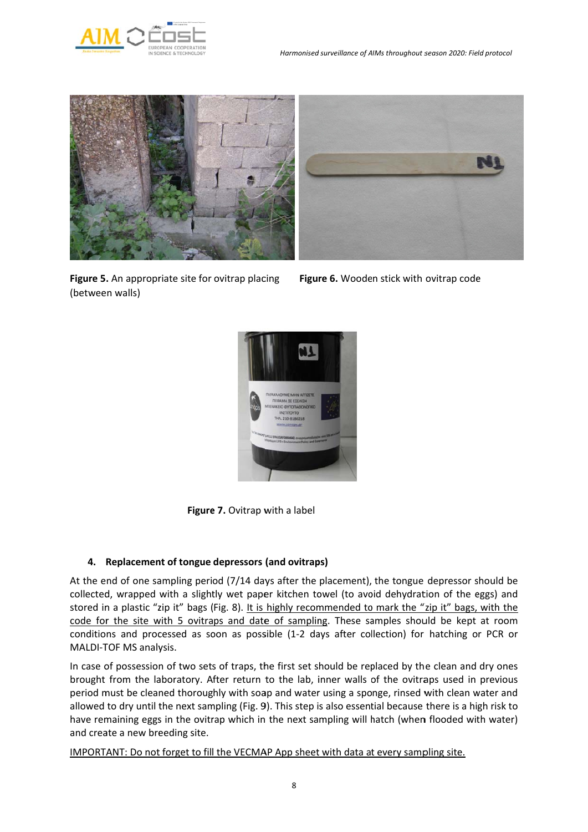



**Figure 5.** An appropriate site for ovitrap placing Figu (betwee n walls)



re 6. Wooden stick with ovitrap code



Figure 7. Ovitrap with a label

# **4. Replacemen nt of tongue depressors (and ovitrap ps)**

At the end of one sampling period (7/14 days after the placement), the tongue depressor s collected, wrapped with a slightly wet paper kitchen towel (to avoid dehydration of the eggs) and stored in a plastic "zip it" bags (Fig. 8). It is highly recommended to mark the "zip it" bags, with the code for the site with 5 ovitraps and date of sampling. These samples should be kept at room conditions and processed as soon as possible (1-2 days after collection) for hatching or PCR or MALDI-TOF MS analysis. le<br>should be

In case of possession of two sets of traps, the first set should be replaced by the clean and dry ones brought from the laboratory. After return to the lab, inner walls of the ovitraps used in previous period must be cleaned thoroughly with soap and water using a sponge, rinsed with clean water and allowed to dry until the next sampling (Fig. 9). This step is also essential because there is a high risk to have remaining eggs in the ovitrap which in the next sampling will hatch (when flooded with water) and create a new breeding site.

IMPORTANT: Do not forget to fill the VECMAP App sheet with data at every sampling site.